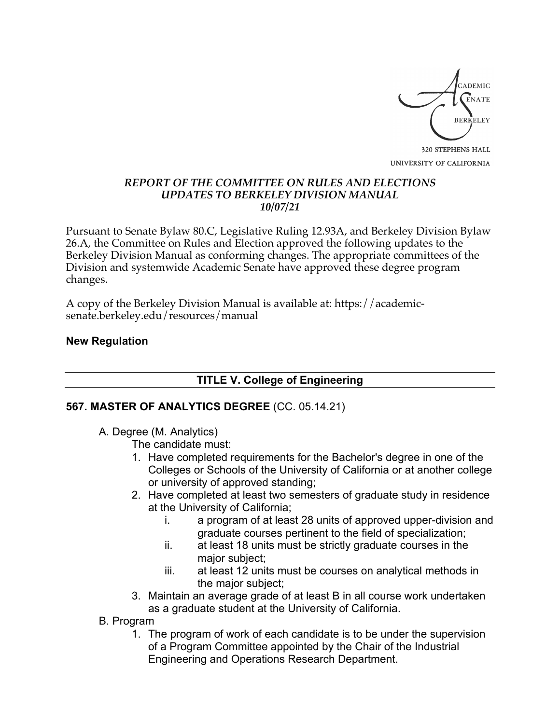

### *REPORT OF THE COMMITTEE ON RULES AND ELECTIONS UPDATES TO BERKELEY DIVISION MANUAL 10/07/21*

Pursuant to Senate Bylaw 80.C, Legislative Ruling 12.93A, and Berkeley Division Bylaw 26.A, the Committee on Rules and Election approved the following updates to the Berkeley Division Manual as conforming changes. The appropriate committees of the Division and systemwide Academic Senate have approved these degree program changes.

A copy of the Berkeley Division Manual is available at: https://academicsenate.berkeley.edu/resources/manual

## **New Regulation**

# **TITLE V. College of Engineering**

# **567. MASTER OF ANALYTICS DEGREE** (CC. 05.14.21)

A. Degree (M. Analytics)

The candidate must:

- 1. Have completed requirements for the Bachelor's degree in one of the Colleges or Schools of the University of California or at another college or university of approved standing;
- 2. Have completed at least two semesters of graduate study in residence at the University of California;
	- i. a program of at least 28 units of approved upper-division and graduate courses pertinent to the field of specialization;
	- ii. at least 18 units must be strictly graduate courses in the major subject;
	- iii. at least 12 units must be courses on analytical methods in the major subject;
- 3. Maintain an average grade of at least B in all course work undertaken as a graduate student at the University of California.
- B. Program
	- 1. The program of work of each candidate is to be under the supervision of a Program Committee appointed by the Chair of the Industrial Engineering and Operations Research Department.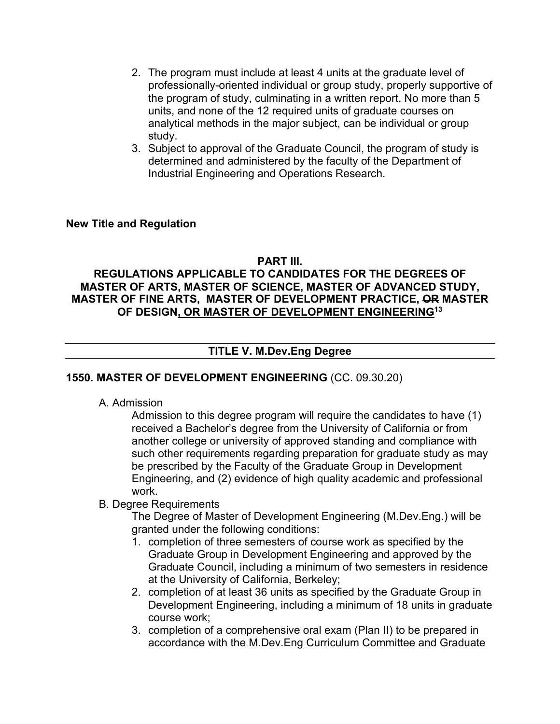- 2. The program must include at least 4 units at the graduate level of professionally-oriented individual or group study, properly supportive of the program of study, culminating in a written report. No more than 5 units, and none of the 12 required units of graduate courses on analytical methods in the major subject, can be individual or group study.
- 3. Subject to approval of the Graduate Council, the program of study is determined and administered by the faculty of the Department of Industrial Engineering and Operations Research.

### **New Title and Regulation**

#### **PART III.**

# **REGULATIONS APPLICABLE TO CANDIDATES FOR THE DEGREES OF MASTER OF ARTS, MASTER OF SCIENCE, MASTER OF ADVANCED STUDY, MASTER OF FINE ARTS, MASTER OF DEVELOPMENT PRACTICE, OR MASTER OF DESIGN, OR MASTER OF DEVELOPMENT ENGINEERING13**

## **TITLE V. M.Dev.Eng Degree**

### **1550. MASTER OF DEVELOPMENT ENGINEERING** (CC. 09.30.20)

A. Admission

Admission to this degree program will require the candidates to have (1) received a Bachelor's degree from the University of California or from another college or university of approved standing and compliance with such other requirements regarding preparation for graduate study as may be prescribed by the Faculty of the Graduate Group in Development Engineering, and (2) evidence of high quality academic and professional work.

#### B. Degree Requirements

The Degree of Master of Development Engineering (M.Dev.Eng.) will be granted under the following conditions:

- 1. completion of three semesters of course work as specified by the Graduate Group in Development Engineering and approved by the Graduate Council, including a minimum of two semesters in residence at the University of California, Berkeley;
- 2. completion of at least 36 units as specified by the Graduate Group in Development Engineering, including a minimum of 18 units in graduate course work;
- 3. completion of a comprehensive oral exam (Plan II) to be prepared in accordance with the M.Dev.Eng Curriculum Committee and Graduate